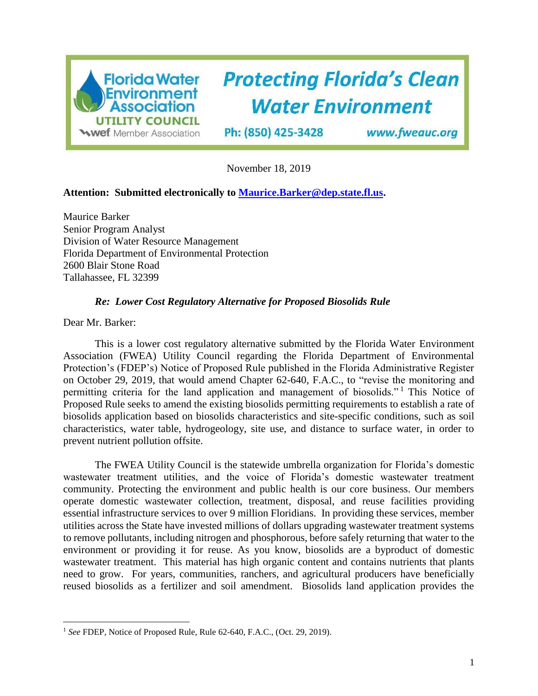## **Protecting Florida's Clean Water Environment**

Ph: (850) 425-3428

www.fweauc.org

November 18, 2019

## **Attention: Submitted electronically to [Maurice.Barker@dep.state.fl.us.](mailto:Maurice.Barker@dep.state.fl.us)**

Maurice Barker Senior Program Analyst Division of Water Resource Management Florida Department of Environmental Protection 2600 Blair Stone Road Tallahassee, FL 32399

**Florida Water Environment** 

**Association UTILITY COUNCIL** 

wef Member Association

## *Re: Lower Cost Regulatory Alternative for Proposed Biosolids Rule*

Dear Mr. Barker:

 $\overline{a}$ 

This is a lower cost regulatory alternative submitted by the Florida Water Environment Association (FWEA) Utility Council regarding the Florida Department of Environmental Protection's (FDEP's) Notice of Proposed Rule published in the Florida Administrative Register on October 29, 2019, that would amend Chapter 62-640, F.A.C., to "revise the monitoring and permitting criteria for the land application and management of biosolids."<sup>1</sup> This Notice of Proposed Rule seeks to amend the existing biosolids permitting requirements to establish a rate of biosolids application based on biosolids characteristics and site-specific conditions, such as soil characteristics, water table, hydrogeology, site use, and distance to surface water, in order to prevent nutrient pollution offsite.

The FWEA Utility Council is the statewide umbrella organization for Florida's domestic wastewater treatment utilities, and the voice of Florida's domestic wastewater treatment community. Protecting the environment and public health is our core business. Our members operate domestic wastewater collection, treatment, disposal, and reuse facilities providing essential infrastructure services to over 9 million Floridians. In providing these services, member utilities across the State have invested millions of dollars upgrading wastewater treatment systems to remove pollutants, including nitrogen and phosphorous, before safely returning that water to the environment or providing it for reuse. As you know, biosolids are a byproduct of domestic wastewater treatment. This material has high organic content and contains nutrients that plants need to grow. For years, communities, ranchers, and agricultural producers have beneficially reused biosolids as a fertilizer and soil amendment. Biosolids land application provides the

<sup>&</sup>lt;sup>1</sup> *See* FDEP, Notice of Proposed Rule, Rule 62-640, F.A.C., (Oct. 29, 2019).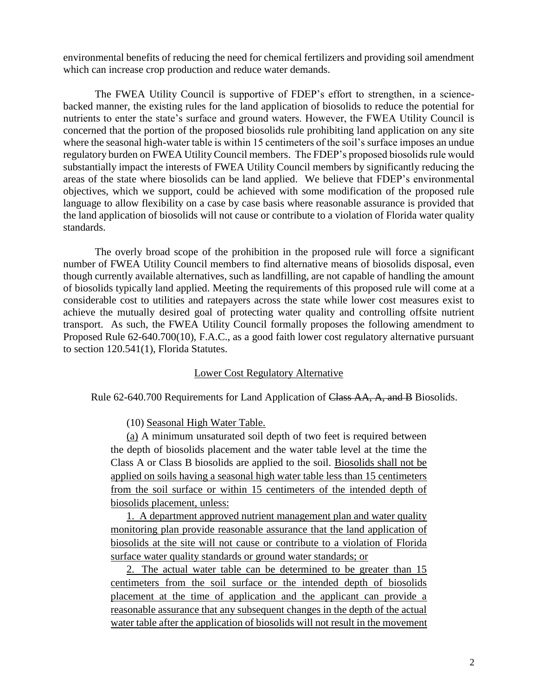environmental benefits of reducing the need for chemical fertilizers and providing soil amendment which can increase crop production and reduce water demands.

The FWEA Utility Council is supportive of FDEP's effort to strengthen, in a sciencebacked manner, the existing rules for the land application of biosolids to reduce the potential for nutrients to enter the state's surface and ground waters. However, the FWEA Utility Council is concerned that the portion of the proposed biosolids rule prohibiting land application on any site where the seasonal high-water table is within 15 centimeters of the soil's surface imposes an undue regulatory burden on FWEA Utility Council members. The FDEP's proposed biosolids rule would substantially impact the interests of FWEA Utility Council members by significantly reducing the areas of the state where biosolids can be land applied. We believe that FDEP's environmental objectives, which we support, could be achieved with some modification of the proposed rule language to allow flexibility on a case by case basis where reasonable assurance is provided that the land application of biosolids will not cause or contribute to a violation of Florida water quality standards.

The overly broad scope of the prohibition in the proposed rule will force a significant number of FWEA Utility Council members to find alternative means of biosolids disposal, even though currently available alternatives, such as landfilling, are not capable of handling the amount of biosolids typically land applied. Meeting the requirements of this proposed rule will come at a considerable cost to utilities and ratepayers across the state while lower cost measures exist to achieve the mutually desired goal of protecting water quality and controlling offsite nutrient transport. As such, the FWEA Utility Council formally proposes the following amendment to Proposed Rule 62-640.700(10), F.A.C., as a good faith lower cost regulatory alternative pursuant to section 120.541(1), Florida Statutes.

## Lower Cost Regulatory Alternative

Rule 62-640.700 Requirements for Land Application of Class AA, A, and B Biosolids.

(10) Seasonal High Water Table.

(a) A minimum unsaturated soil depth of two feet is required between the depth of biosolids placement and the water table level at the time the Class A or Class B biosolids are applied to the soil. Biosolids shall not be applied on soils having a seasonal high water table less than 15 centimeters from the soil surface or within 15 centimeters of the intended depth of biosolids placement, unless:

1. A department approved nutrient management plan and water quality monitoring plan provide reasonable assurance that the land application of biosolids at the site will not cause or contribute to a violation of Florida surface water quality standards or ground water standards; or

2. The actual water table can be determined to be greater than 15 centimeters from the soil surface or the intended depth of biosolids placement at the time of application and the applicant can provide a reasonable assurance that any subsequent changes in the depth of the actual water table after the application of biosolids will not result in the movement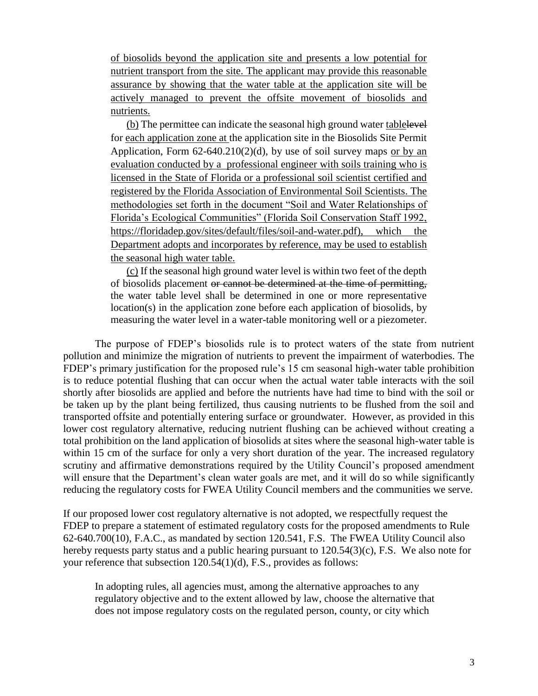of biosolids beyond the application site and presents a low potential for nutrient transport from the site. The applicant may provide this reasonable assurance by showing that the water table at the application site will be actively managed to prevent the offsite movement of biosolids and nutrients.

(b) The permittee can indicate the seasonal high ground water tablelevel for each application zone at the application site in the Biosolids Site Permit Application, Form  $62-640.210(2)(d)$ , by use of soil survey maps or by an evaluation conducted by a professional engineer with soils training who is licensed in the State of Florida or a professional soil scientist certified and registered by the Florida Association of Environmental Soil Scientists. The methodologies set forth in the document "Soil and Water Relationships of Florida's Ecological Communities" (Florida Soil Conservation Staff 1992, https://floridadep.gov/sites/default/files/soil-and-water.pdf), which the Department adopts and incorporates by reference, may be used to establish the seasonal high water table.

(c) If the seasonal high ground water level is within two feet of the depth of biosolids placement or cannot be determined at the time of permitting, the water table level shall be determined in one or more representative location(s) in the application zone before each application of biosolids, by measuring the water level in a water-table monitoring well or a piezometer.

The purpose of FDEP's biosolids rule is to protect waters of the state from nutrient pollution and minimize the migration of nutrients to prevent the impairment of waterbodies. The FDEP's primary justification for the proposed rule's 15 cm seasonal high-water table prohibition is to reduce potential flushing that can occur when the actual water table interacts with the soil shortly after biosolids are applied and before the nutrients have had time to bind with the soil or be taken up by the plant being fertilized, thus causing nutrients to be flushed from the soil and transported offsite and potentially entering surface or groundwater. However, as provided in this lower cost regulatory alternative, reducing nutrient flushing can be achieved without creating a total prohibition on the land application of biosolids at sites where the seasonal high-water table is within 15 cm of the surface for only a very short duration of the year. The increased regulatory scrutiny and affirmative demonstrations required by the Utility Council's proposed amendment will ensure that the Department's clean water goals are met, and it will do so while significantly reducing the regulatory costs for FWEA Utility Council members and the communities we serve.

If our proposed lower cost regulatory alternative is not adopted, we respectfully request the FDEP to prepare a statement of estimated regulatory costs for the proposed amendments to Rule 62-640.700(10), F.A.C., as mandated by section 120.541, F.S. The FWEA Utility Council also hereby requests party status and a public hearing pursuant to  $120.54(3)(c)$ , F.S. We also note for your reference that subsection 120.54(1)(d), F.S., provides as follows:

In adopting rules, all agencies must, among the alternative approaches to any regulatory objective and to the extent allowed by law, choose the alternative that does not impose regulatory costs on the regulated person, county, or city which